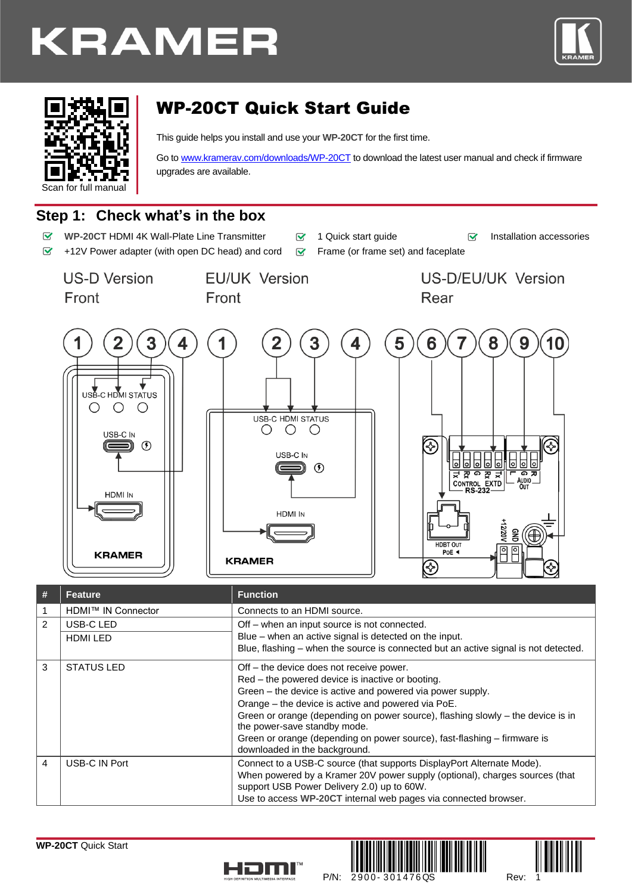





# WP-20CT Quick Start Guide

This guide helps you install and use your **WP-20CT** for the first time.

Go t[o www.kramerav.com/downloads/WP-20CT](http://www.kramerav.com/downloads/WP-20CT) to download the latest user manual and check if firmware upgrades are available.

# **Step 1: Check what's in the box**

- $\overline{\mathbf{v}}$ **WP-20CT** HDMI 4K Wall-Plate Line Transmitter **1 o** 1 Quick start guide **Installation accessories**
- $\overline{\mathbf{v}}$ +12V Power adapter (with open DC head) and cord  $\mathbb{F}$  Frame (or frame set) and faceplate
- 
- 

**US-D Version** Front

Front

**EU/UK Version** 

US-D/EU/UK Version Rear



| # | <b>Feature</b>     | <b>Function</b>                                                                                                           |  |
|---|--------------------|---------------------------------------------------------------------------------------------------------------------------|--|
|   | HDMI™ IN Connector | Connects to an HDMI source.                                                                                               |  |
| 2 | USB-C LED          | Off - when an input source is not connected.                                                                              |  |
|   | <b>HDMI LED</b>    | Blue – when an active signal is detected on the input.                                                                    |  |
|   |                    | Blue, flashing – when the source is connected but an active signal is not detected.                                       |  |
| 3 | <b>STATUS LED</b>  | Off – the device does not receive power.                                                                                  |  |
|   |                    | Red - the powered device is inactive or booting.                                                                          |  |
|   |                    | Green – the device is active and powered via power supply.                                                                |  |
|   |                    | Orange - the device is active and powered via PoE.                                                                        |  |
|   |                    | Green or orange (depending on power source), flashing slowly - the device is in<br>the power-save standby mode.           |  |
|   |                    | Green or orange (depending on power source), fast-flashing - firmware is<br>downloaded in the background.                 |  |
| 4 | USB-C IN Port      | Connect to a USB-C source (that supports DisplayPort Alternate Mode).                                                     |  |
|   |                    | When powered by a Kramer 20V power supply (optional), charges sources (that<br>support USB Power Delivery 2.0) up to 60W. |  |
|   |                    | Use to access WP-20CT internal web pages via connected browser.                                                           |  |



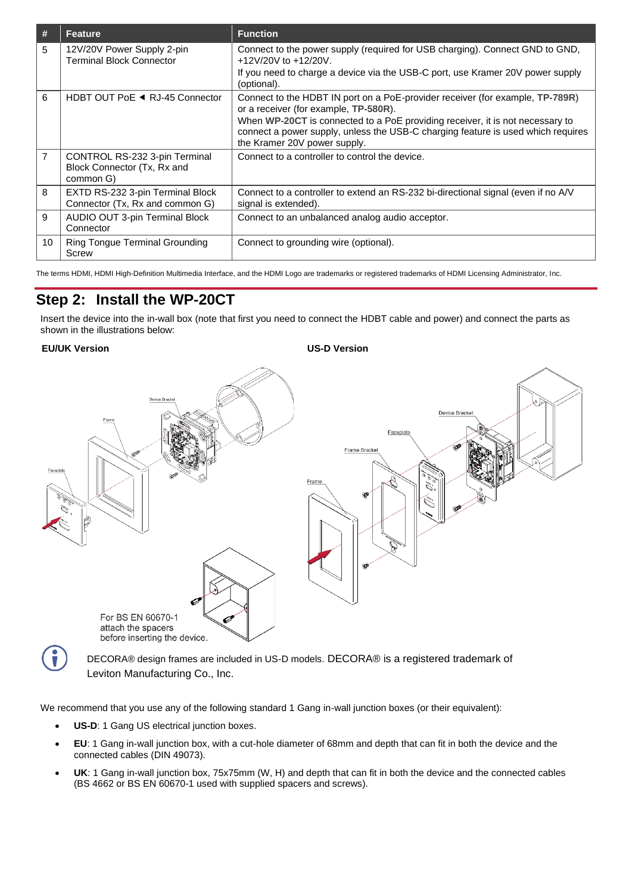| #  | <b>Feature</b>                                                            | <b>Function</b>                                                                                                                                                                                   |
|----|---------------------------------------------------------------------------|---------------------------------------------------------------------------------------------------------------------------------------------------------------------------------------------------|
| 5  | 12V/20V Power Supply 2-pin<br><b>Terminal Block Connector</b>             | Connect to the power supply (required for USB charging). Connect GND to GND,<br>+12V/20V to +12/20V.                                                                                              |
|    |                                                                           | If you need to charge a device via the USB-C port, use Kramer 20V power supply<br>(optional).                                                                                                     |
| 6  | HDBT OUT PoE ◀ RJ-45 Connector                                            | Connect to the HDBT IN port on a PoE-provider receiver (for example, TP-789R)<br>or a receiver (for example, TP-580R).                                                                            |
|    |                                                                           | When WP-20CT is connected to a PoE providing receiver, it is not necessary to<br>connect a power supply, unless the USB-C charging feature is used which requires<br>the Kramer 20V power supply. |
| 7  | CONTROL RS-232 3-pin Terminal<br>Block Connector (Tx, Rx and<br>common G) | Connect to a controller to control the device.                                                                                                                                                    |
| 8  | EXTD RS-232 3-pin Terminal Block<br>Connector (Tx, Rx and common G)       | Connect to a controller to extend an RS-232 bi-directional signal (even if no A/V<br>signal is extended).                                                                                         |
| 9  | AUDIO OUT 3-pin Terminal Block<br>Connector                               | Connect to an unbalanced analog audio acceptor.                                                                                                                                                   |
| 10 | Ring Tongue Terminal Grounding<br>Screw                                   | Connect to grounding wire (optional).                                                                                                                                                             |

The terms HDMI, HDMI High-Definition Multimedia Interface, and the HDMI Logo are trademarks or registered trademarks of HDMI Licensing Administrator, Inc.

# **Step 2: Install the WP-20CT**

Insert the device into the in-wall box (note that first you need to connect the HDBT cable and power) and connect the parts as shown in the illustrations below:

#### **EU/UK Version US-D Version**



DECORA® design frames are included in US-D models. DECORA® is a registered trademark of Leviton Manufacturing Co., Inc.

We recommend that you use any of the following standard 1 Gang in-wall junction boxes (or their equivalent):

- **US-D**: 1 Gang US electrical junction boxes.
- **EU**: 1 Gang in-wall junction box, with a cut-hole diameter of 68mm and depth that can fit in both the device and the connected cables (DIN 49073).
- **UK**: 1 Gang in-wall junction box, 75x75mm (W, H) and depth that can fit in both the device and the connected cables (BS 4662 or BS EN 60670-1 used with supplied spacers and screws).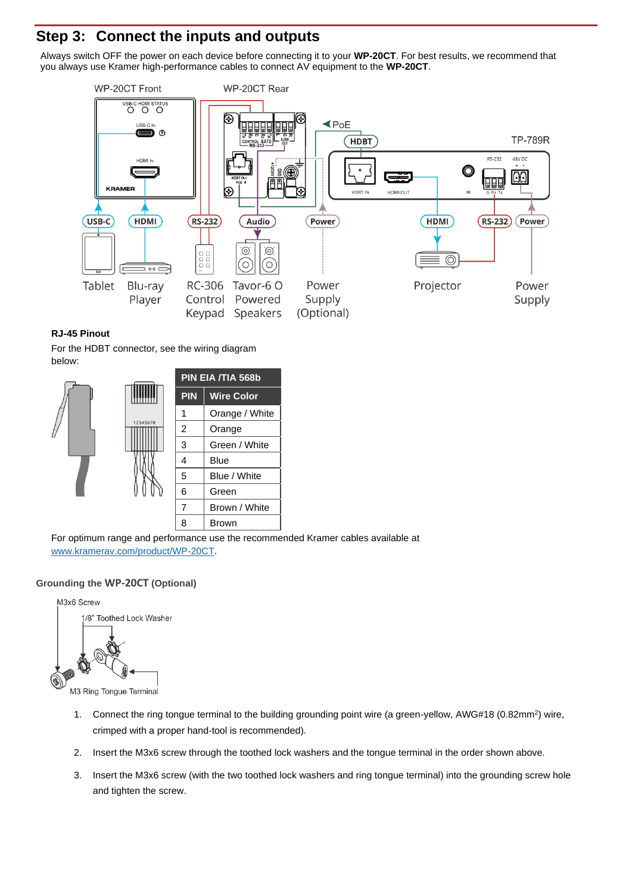## **Step 3: Connect the inputs and outputs**

Always switch OFF the power on each device before connecting it to your **WP-20CT**. For best results, we recommend that you always use Kramer high-performance cables to connect AV equipment to the **WP-20CT**.



#### **RJ-45 Pinout**

For the HDBT connector, see the wiring diagram below:



For optimum range and performance use the recommended Kramer cables available at [www.kramerav.com/product/WP-20CT.](http://www.kramerav.com/product/WP-20CT)

#### **Grounding the WP-20CT (Optional)**



M3 Ring Tongue Terminal

- 1. Connect the ring tongue terminal to the building grounding point wire (a green-yellow, AWG#18 (0.82mm<sup>2</sup>) wire, crimped with a proper hand-tool is recommended).
- 2. Insert the M3x6 screw through the toothed lock washers and the tongue terminal in the order shown above.
- 3. Insert the M3x6 screw (with the two toothed lock washers and ring tongue terminal) into the grounding screw hole and tighten the screw.